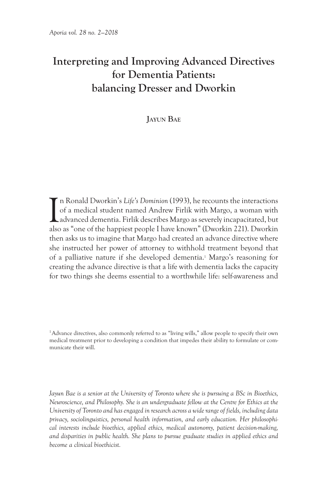## **Interpreting and Improving Advanced Directives for Dementia Patients: balancing Dresser and Dworkin**

**Jayun Bae**

 $\prod_{\text{abs}}$ n Ronald Dworkin's *Life's Dominion* (1993), he recounts the interactions of a medical student named Andrew Firlik with Margo, a woman with advanced dementia. Firlik describes Margo as severely incapacitated, but also as "one of the happiest people I have known" (Dworkin 221). Dworkin then asks us to imagine that Margo had created an advance directive where she instructed her power of attorney to withhold treatment beyond that of a palliative nature if she developed dementia.<sup>1</sup> Margo's reasoning for creating the advance directive is that a life with dementia lacks the capacity for two things she deems essential to a worthwhile life: self-awareness and

<sup>1</sup>Advance directives, also commonly referred to as "living wills," allow people to specify their own medical treatment prior to developing a condition that impedes their ability to formulate or communicate their will.

*Jayun Bae is a senior at the University of Toronto where she is pursuing a BSc in Bioethics, Neuroscience, and Philosophy. She is an undergraduate fellow at the Centre for Ethics at the University of Toronto and has engaged in research across a wide range of fields, including data privacy, sociolinguistics, personal health information, and early education. Her philosophical interests include bioethics, applied ethics, medical autonomy, patient decision-making, and disparities in public health. She plans to pursue graduate studies in applied ethics and become a clinical bioethicist.*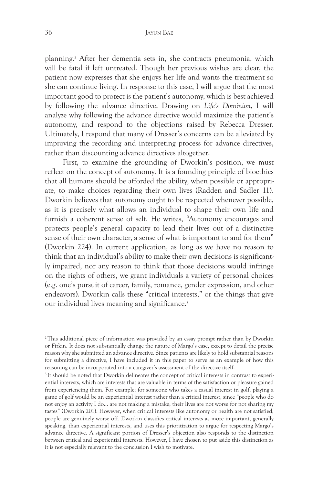planning.2 After her dementia sets in, she contracts pneumonia, which will be fatal if left untreated. Though her previous wishes are clear, the patient now expresses that she enjoys her life and wants the treatment so she can continue living. In response to this case, I will argue that the most important good to protect is the patient's autonomy, which is best achieved by following the advance directive. Drawing on *Life's Dominion*, I will analyze why following the advance directive would maximize the patient's autonomy, and respond to the objections raised by Rebecca Dresser. Ultimately, I respond that many of Dresser's concerns can be alleviated by improving the recording and interpreting process for advance directives, rather than discounting advance directives altogether.

First, to examine the grounding of Dworkin's position, we must reflect on the concept of autonomy. It is a founding principle of bioethics that all humans should be afforded the ability, when possible or appropriate, to make choices regarding their own lives (Radden and Sadler 11). Dworkin believes that autonomy ought to be respected whenever possible, as it is precisely what allows an individual to shape their own life and furnish a coherent sense of self. He writes, "Autonomy encourages and protects people's general capacity to lead their lives out of a distinctive sense of their own character, a sense of what is important to and for them" (Dworkin 224). In current application, as long as we have no reason to think that an individual's ability to make their own decisions is significantly impaired, nor any reason to think that those decisions would infringe on the rights of others, we grant individuals a variety of personal choices (e.g. one's pursuit of career, family, romance, gender expression, and other endeavors). Dworkin calls these "critical interests," or the things that give our individual lives meaning and significance.3

<sup>2</sup>This additional piece of information was provided by an essay prompt rather than by Dworkin or Firkin. It does not substantially change the nature of Margo's case, except to detail the precise reason why she submitted an advance directive. Since patients are likely to hold substantial reasons for submitting a directive, I have included it in this paper to serve as an example of how this reasoning can be incorporated into a caregiver's assessment of the directive itself.

<sup>&</sup>lt;sup>3</sup>It should be noted that Dworkin delineates the concept of critical interests in contrast to experiential interests, which are interests that are valuable in terms of the satisfaction or pleasure gained from experiencing them. For example: for someone who takes a casual interest in golf, playing a game of golf would be an experiential interest rather than a critical interest, since "people who do not enjoy an activity I do… are not making a mistake; their lives are not worse for not sharing my tastes" (Dworkin 201). However, when critical interests like autonomy or health are not satisfied, people are genuinely worse off. Dworkin classifies critical interests as more important, generally speaking, than experiential interests, and uses this prioritization to argue for respecting Margo's advance directive. A significant portion of Dresser's objection also responds to the distinction between critical and experiential interests. However, I have chosen to put aside this distinction as it is not especially relevant to the conclusion I wish to motivate.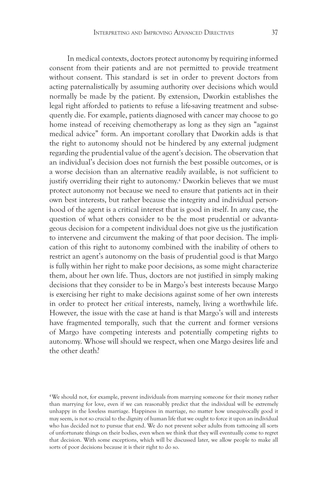In medical contexts, doctors protect autonomy by requiring informed consent from their patients and are not permitted to provide treatment without consent. This standard is set in order to prevent doctors from acting paternalistically by assuming authority over decisions which would normally be made by the patient. By extension, Dworkin establishes the legal right afforded to patients to refuse a life-saving treatment and subsequently die. For example, patients diagnosed with cancer may choose to go home instead of receiving chemotherapy as long as they sign an "against medical advice" form. An important corollary that Dworkin adds is that the right to autonomy should not be hindered by any external judgment regarding the prudential value of the agent's decision. The observation that an individual's decision does not furnish the best possible outcomes, or is a worse decision than an alternative readily available, is not sufficient to justify overriding their right to autonomy.4 Dworkin believes that we must protect autonomy not because we need to ensure that patients act in their own best interests, but rather because the integrity and individual personhood of the agent is a critical interest that is good in itself. In any case, the question of what others consider to be the most prudential or advantageous decision for a competent individual does not give us the justification to intervene and circumvent the making of that poor decision. The implication of this right to autonomy combined with the inability of others to restrict an agent's autonomy on the basis of prudential good is that Margo is fully within her right to make poor decisions, as some might characterize them, about her own life. Thus, doctors are not justified in simply making decisions that they consider to be in Margo's best interests because Margo is exercising her right to make decisions against some of her own interests in order to protect her *critical* interests, namely, living a worthwhile life. However, the issue with the case at hand is that Margo's will and interests have fragmented temporally, such that the current and former versions of Margo have competing interests and potentially competing rights to autonomy. Whose will should we respect, when one Margo desires life and the other death?

<sup>4</sup>We should not, for example, prevent individuals from marrying someone for their money rather than marrying for love, even if we can reasonably predict that the individual will be extremely unhappy in the loveless marriage. Happiness in marriage, no matter how unequivocally good it may seem, is not so crucial to the dignity of human life that we ought to force it upon an individual who has decided not to pursue that end. We do not prevent sober adults from tattooing all sorts of unfortunate things on their bodies, even when we think that they will eventually come to regret that decision. With some exceptions, which will be discussed later, we allow people to make all sorts of poor decisions because it is their right to do so.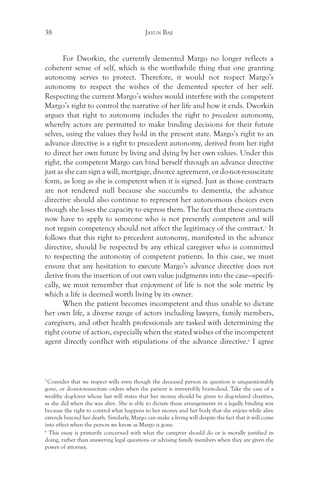For Dworkin, the currently demented Margo no longer reflects a coherent sense of self, which is the worthwhile thing that one granting autonomy serves to protect. Therefore, it would not respect Margo's autonomy to respect the wishes of the demented specter of her self. Respecting the current Margo's wishes would interfere with the competent Margo's right to control the narrative of her life and how it ends. Dworkin argues that right to autonomy includes the right to *precedent* autonomy, whereby actors are permitted to make binding decisions for their future selves, using the values they hold in the present state. Margo's right to an advance directive is a right to precedent autonomy, derived from her right to direct her own future by living and dying by her own values. Under this right, the competent Margo can bind herself through an advance directive just as she can sign a will, mortgage, divorce agreement, or do-not-resuscitate form, as long as she is competent when it is signed. Just as those contracts are not rendered null because she succumbs to dementia, the advance directive should also continue to represent her autonomous choices even though she loses the capacity to express them. The fact that these contracts now have to apply to someone who is not presently competent and will not regain competency should not affect the legitimacy of the contract.<sup>5</sup> It follows that this right to precedent autonomy, manifested in the advance directive, should be respected by any ethical caregiver who is committed to respecting the autonomy of competent patients. In this case, we must ensure that any hesitation to execute Margo's advance directive does not derive from the insertion of our own value judgments into the case—specifically, we must remember that enjoyment of life is not the sole metric by which a life is deemed worth living by its owner.

When the patient becomes incompetent and thus unable to dictate her own life, a diverse range of actors including lawyers, family members, caregivers, and other health professionals are tasked with determining the right course of action, especially when the stated wishes of the incompetent agent directly conflict with stipulations of the advance directive.<sup>6</sup> I agree

<sup>&</sup>lt;sup>5</sup>Consider that we respect wills even though the deceased person in question is unquestionably gone, or do-not-resuscitate orders when the patient is irreversibly brain-dead. Take the case of a wealthy dog-lover whose last will states that her money should be given to dog-related charities, as she did when she was alive. She is able to dictate these arrangements in a legally binding way because the right to control what happens to her money and her body that she enjoys while alive extends beyond her death. Similarly, Margo can make a living will despite the fact that it will come into effect when the person we know as Margo is gone.

<sup>6</sup> This essay is primarily concerned with what the caregiver should do or is morally justified in doing, rather than answering legal questions or advising family members when they are given the power of attorney.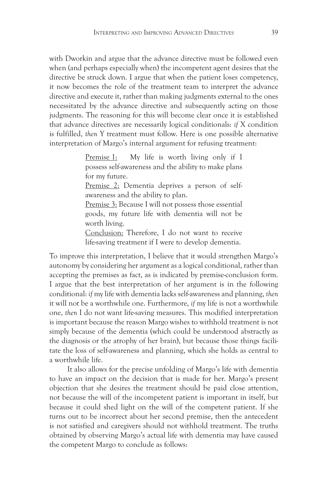with Dworkin and argue that the advance directive must be followed even when (and perhaps especially when) the incompetent agent desires that the directive be struck down. I argue that when the patient loses competency, it now becomes the role of the treatment team to interpret the advance directive and execute it, rather than making judgments external to the ones necessitated by the advance directive and subsequently acting on those judgments. The reasoning for this will become clear once it is established that advance directives are necessarily logical conditionals: *if* X condition is fulfilled, *then* Y treatment must follow. Here is one possible alternative interpretation of Margo's internal argument for refusing treatment:

> Premise 1: My life is worth living only if I possess self-awareness and the ability to make plans for my future.

> Premise 2: Dementia deprives a person of selfawareness and the ability to plan.

> Premise 3: Because I will not possess those essential goods, my future life with dementia will not be worth living.

> Conclusion: Therefore, I do not want to receive life-saving treatment if I were to develop dementia.

To improve this interpretation, I believe that it would strengthen Margo's autonomy by considering her argument as a logical conditional, rather than accepting the premises as fact, as is indicated by premise-conclusion form. I argue that the best interpretation of her argument is in the following conditional: *if* my life with dementia lacks self-awareness and planning, *then* it will not be a worthwhile one. Furthermore, *if* my life is not a worthwhile one, *then* I do not want life-saving measures. This modified interpretation is important because the reason Margo wishes to withhold treatment is not simply because of the dementia (which could be understood abstractly as the diagnosis or the atrophy of her brain), but because those things facilitate the loss of self-awareness and planning, which she holds as central to a worthwhile life.

It also allows for the precise unfolding of Margo's life with dementia to have an impact on the decision that is made for her. Margo's present objection that she desires the treatment should be paid close attention, not because the will of the incompetent patient is important in itself, but because it could shed light on the will of the competent patient. If she turns out to be incorrect about her second premise, then the antecedent is not satisfied and caregivers should not withhold treatment. The truths obtained by observing Margo's actual life with dementia may have caused the competent Margo to conclude as follows: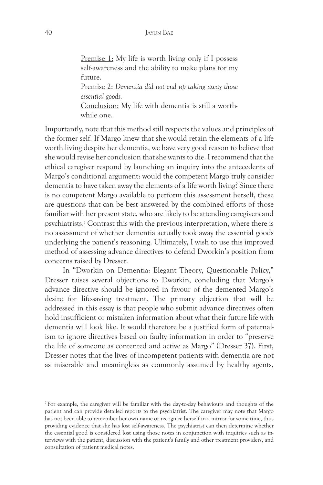## 40 Jayun Bae

Premise 1: My life is worth living only if I possess self-awareness and the ability to make plans for my future.

Premise 2: *Dementia did not end up taking away those essential goods.*

Conclusion: My life with dementia is still a worthwhile one.

Importantly, note that this method still respects the values and principles of the former self. If Margo knew that she would retain the elements of a life worth living despite her dementia, we have very good reason to believe that she would revise her conclusion that she wants to die. I recommend that the ethical caregiver respond by launching an inquiry into the antecedents of Margo's conditional argument: would the competent Margo truly consider dementia to have taken away the elements of a life worth living? Since there is no competent Margo available to perform this assessment herself, these are questions that can be best answered by the combined efforts of those familiar with her present state, who are likely to be attending caregivers and psychiatrists.7 Contrast this with the previous interpretation, where there is no assessment of whether dementia actually took away the essential goods underlying the patient's reasoning. Ultimately, I wish to use this improved method of assessing advance directives to defend Dworkin's position from concerns raised by Dresser.

In "Dworkin on Dementia: Elegant Theory, Questionable Policy," Dresser raises several objections to Dworkin, concluding that Margo's advance directive should be ignored in favour of the demented Margo's desire for life-saving treatment. The primary objection that will be addressed in this essay is that people who submit advance directives often hold insufficient or mistaken information about what their future life with dementia will look like. It would therefore be a justified form of paternalism to ignore directives based on faulty information in order to "preserve the life of someone as contented and active as Margo" (Dresser 37). First, Dresser notes that the lives of incompetent patients with dementia are not as miserable and meaningless as commonly assumed by healthy agents,

 $^7$ For example, the caregiver will be familiar with the day-to-day behaviours and thoughts of the patient and can provide detailed reports to the psychiatrist. The caregiver may note that Margo has not been able to remember her own name or recognize herself in a mirror for some time, thus providing evidence that she has lost self-awareness. The psychiatrist can then determine whether the essential good is considered lost using those notes in conjunction with inquiries such as interviews with the patient, discussion with the patient's family and other treatment providers, and consultation of patient medical notes.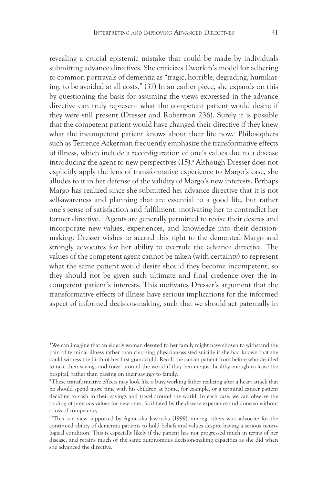revealing a crucial epistemic mistake that could be made by individuals submitting advance directives. She criticizes Dworkin's model for adhering to common portrayals of dementia as "tragic, horrible, degrading, humiliating, to be avoided at all costs." (37) In an earlier piece, she expands on this by questioning the basis for assuming the views expressed in the advance directive can truly represent what the competent patient would desire if they were still present (Dresser and Robertson 236). Surely it is possible that the competent patient would have changed their directive if they knew what the incompetent patient knows about their life now.8 Philosophers such as Terrence Ackerman frequently emphasize the transformative effects of illness, which include a reconfiguration of one's values due to a disease introducing the agent to new perspectives (15).9 Although Dresser does not explicitly apply the lens of transformative experience to Margo's case, she alludes to it in her defense of the validity of Margo's new interests. Perhaps Margo has realized since she submitted her advance directive that it is not self-awareness and planning that are essential to a good life, but rather one's sense of satisfaction and fulfilment, motivating her to contradict her former directive.<sup>10</sup> Agents are generally permitted to revise their desires and incorporate new values, experiences, and knowledge into their decisionmaking. Dresser wishes to accord this right to the demented Margo and strongly advocates for her ability to overrule the advance directive. The values of the competent agent cannot be taken (with certainty) to represent what the same patient would desire should they become incompetent, so they should not be given such ultimate and final credence over the incompetent patient's interests. This motivates Dresser's argument that the transformative effects of illness have serious implications for the informed aspect of informed decision-making, such that we should act paternally in

8We can imagine that an elderly woman devoted to her family might have chosen to withstand the pain of terminal illness rather than choosing physician-assisted suicide if she had known that she could witness the birth of her first grandchild. Recall the cancer patient from before who decided to take their savings and travel around the world if they became just healthy enough to leave the hospital, rather than passing on their savings to family.

9These transformative effects may look like a busy working father realizing after a heart attack that he should spend more time with his children at home, for example, or a terminal cancer patient deciding to cash in their savings and travel around the world. In each case, we can observe the trading of previous values for new ones, facilitated by the disease experience and done so without a loss of competency.

<sup>10</sup>This is a view supported by Agnieszka Jaworska (1999), among others who advocate for the continued ability of dementia patients to hold beliefs and values despite having a serious neurological condition. This is especially likely if the patient has not progressed much in terms of her disease, and retains much of the same autonomous decision-making capacities as she did when she advanced the directive.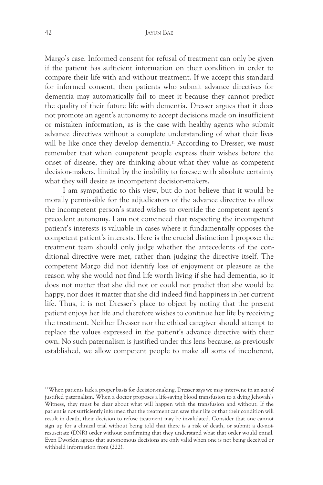Margo's case. Informed consent for refusal of treatment can only be given if the patient has sufficient information on their condition in order to compare their life with and without treatment. If we accept this standard for informed consent, then patients who submit advance directives for dementia may automatically fail to meet it because they cannot predict the quality of their future life with dementia. Dresser argues that it does not promote an agent's autonomy to accept decisions made on insufficient or mistaken information, as is the case with healthy agents who submit advance directives without a complete understanding of what their lives will be like once they develop dementia.<sup>11</sup> According to Dresser, we must remember that when competent people express their wishes before the onset of disease, they are thinking about what they value as competent decision-makers, limited by the inability to foresee with absolute certainty what they will desire as incompetent decision-makers.

I am sympathetic to this view, but do not believe that it would be morally permissible for the adjudicators of the advance directive to allow the incompetent person's stated wishes to override the competent agent's precedent autonomy. I am not convinced that respecting the incompetent patient's interests is valuable in cases where it fundamentally opposes the competent patient's interests. Here is the crucial distinction I propose: the treatment team should only judge whether the antecedents of the conditional directive were met, rather than judging the directive itself. The competent Margo did not identify loss of enjoyment or pleasure as the reason why she would not find life worth living if she had dementia, so it does not matter that she did not or could not predict that she would be happy, nor does it matter that she did indeed find happiness in her current life. Thus, it is not Dresser's place to object by noting that the present patient enjoys her life and therefore wishes to continue her life by receiving the treatment. Neither Dresser nor the ethical caregiver should attempt to replace the values expressed in the patient's advance directive with their own. No such paternalism is justified under this lens because, as previously established, we allow competent people to make all sorts of incoherent,

<sup>&</sup>lt;sup>11</sup> When patients lack a proper basis for decision-making, Dresser says we may intervene in an act of justified paternalism. When a doctor proposes a life-saving blood transfusion to a dying Jehovah's Witness, they must be clear about what will happen with the transfusion and without. If the patient is not sufficiently informed that the treatment can save their life or that their condition will result in death, their decision to refuse treatment may be invalidated. Consider that one cannot sign up for a clinical trial without being told that there is a risk of death, or submit a do-notresuscitate (DNR) order without confirming that they understand what that order would entail. Even Dworkin agrees that autonomous decisions are only valid when one is not being deceived or withheld information from (222).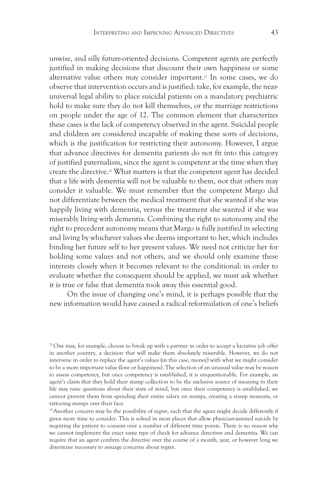unwise, and silly future-oriented decisions. Competent agents are perfectly justified in making decisions that discount their own happiness or some alternative value others may consider important.12 In some cases, we do observe that intervention occurs and is justified: take, for example, the nearuniversal legal ability to place suicidal patients on a mandatory psychiatric hold to make sure they do not kill themselves, or the marriage restrictions on people under the age of 12. The common element that characterizes these cases is the lack of competency observed in the agent. Suicidal people and children are considered incapable of making these sorts of decisions, which is the justification for restricting their autonomy. However, I argue that advance directives for dementia patients do not fit into this category of justified paternalism, since the agent is competent at the time when they create the directive.13 What matters is that the competent agent has decided that a life with dementia will not be valuable to them, not that others may consider it valuable. We must remember that the competent Margo did not differentiate between the medical treatment that she wanted if she was happily living with dementia, versus the treatment she wanted if she was miserably living with dementia. Combining the right to autonomy and the right to precedent autonomy means that Margo is fully justified in selecting and living by whichever values she deems important to her, which includes binding her future self to her present values. We need not criticize her for holding some values and not others, and we should only examine these interests closely when it becomes relevant to the conditional: in order to evaluate whether the consequent should be applied, we must ask whether it is true or false that dementia took away this essential good.

On the issue of changing one's mind, it is perhaps possible that the new information would have caused a radical reformulation of one's beliefs

<sup>13</sup> Another concern may be the possibility of regret, such that the agent might decide differently if given more time to consider. This is solved in most places that allow physician-assisted suicide by requiring the patient to consent over a number of different time points. There is no reason why we cannot implement the exact same type of check for advance directives and dementia. We can require that an agent confirm the directive over the course of a month, year, or however long we determine necessary to assuage concerns about regret.

 $12$  One may, for example, choose to break up with a partner in order to accept a lucrative job offer in another country, a decision that will make them absolutely miserable. However, we do not intervene in order to replace the agent's values (in this case, money) with what we might consider to be a more important value (love or happiness). The selection of an unusual value may be reason to assess competency, but once competency is established, it is unquestionable. For example, an agent's claim that they hold their stamp collection to be the exclusive source of meaning in their life may raise questions about their state of mind, but once their competency is established, we cannot prevent them from spending their entire salary on stamps, creating a stamp museum, or tattooing stamps over their face.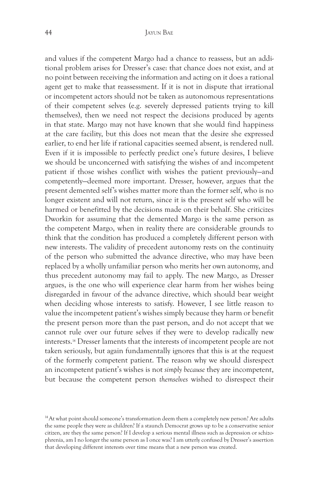and values if the competent Margo had a chance to reassess, but an additional problem arises for Dresser's case: that chance does not exist, and at no point between receiving the information and acting on it does a rational agent get to make that reassessment. If it is not in dispute that irrational or incompetent actors should not be taken as autonomous representations of their competent selves (e.g. severely depressed patients trying to kill themselves), then we need not respect the decisions produced by agents in that state. Margo may not have known that she would find happiness at the care facility, but this does not mean that the desire she expressed earlier, to end her life if rational capacities seemed absent, is rendered null. Even if it is impossible to perfectly predict one's future desires, I believe we should be unconcerned with satisfying the wishes of and incompetent patient if those wishes conflict with wishes the patient previously—and competently—deemed more important. Dresser, however, argues that the present demented self's wishes matter more than the former self, who is no longer existent and will not return, since it is the present self who will be harmed or benefitted by the decisions made on their behalf. She criticizes Dworkin for assuming that the demented Margo is the same person as the competent Margo, when in reality there are considerable grounds to think that the condition has produced a completely different person with new interests. The validity of precedent autonomy rests on the continuity of the person who submitted the advance directive, who may have been replaced by a wholly unfamiliar person who merits her own autonomy, and thus precedent autonomy may fail to apply. The new Margo, as Dresser argues, is the one who will experience clear harm from her wishes being disregarded in favour of the advance directive, which should bear weight when deciding whose interests to satisfy. However, I see little reason to value the incompetent patient's wishes simply because they harm or benefit the present person more than the past person, and do not accept that we cannot rule over our future selves if they were to develop radically new interests.14 Dresser laments that the interests of incompetent people are not taken seriously, but again fundamentally ignores that this is at the request of the formerly competent patient. The reason why we should disrespect an incompetent patient's wishes is not *simply because* they are incompetent, but because the competent person *themselves* wished to disrespect their

<sup>&</sup>lt;sup>14</sup> At what point should someone's transformation deem them a completely new person? Are adults the same people they were as children? If a staunch Democrat grows up to be a conservative senior citizen, are they the same person? If I develop a serious mental illness such as depression or schizophrenia, am I no longer the same person as I once was? I am utterly confused by Dresser's assertion that developing different interests over time means that a new person was created.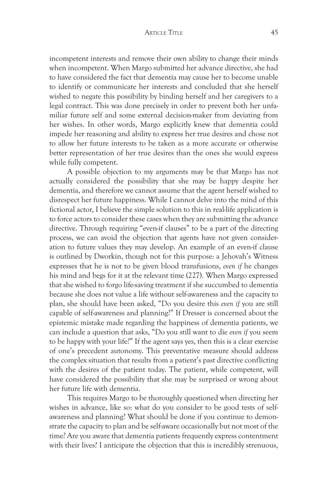## ARTICLE TITLE 45

incompetent interests and remove their own ability to change their minds when incompetent. When Margo submitted her advance directive, she had to have considered the fact that dementia may cause her to become unable to identify or communicate her interests and concluded that she herself wished to negate this possibility by binding herself and her caregivers to a legal contract. This was done precisely in order to prevent both her unfamiliar future self and some external decision-maker from deviating from her wishes. In other words, Margo explicitly knew that dementia could impede her reasoning and ability to express her true desires and chose not to allow her future interests to be taken as a more accurate or otherwise better representation of her true desires than the ones she would express while fully competent.

A possible objection to my arguments may be that Margo has not actually considered the possibility that she may be happy despite her dementia, and therefore we cannot assume that the agent herself wished to disrespect her future happiness. While I cannot delve into the mind of this fictional actor, I believe the simple solution to this in real-life application is to force actors to consider these cases when they are submitting the advance directive. Through requiring "even-if clauses" to be a part of the directing process, we can avoid the objection that agents have not given consideration to future values they may develop. An example of an even-if clause is outlined by Dworkin, though not for this purpose: a Jehovah's Witness expresses that he is not to be given blood transfusions, *even if* he changes his mind and begs for it at the relevant time (227). When Margo expressed that she wished to forgo life-saving treatment if she succumbed to dementia because she does not value a life without self-awareness and the capacity to plan, she should have been asked, "Do you desire this *even if* you are still capable of self-awareness and planning?" If Dresser is concerned about the epistemic mistake made regarding the happiness of dementia patients, we can include a question that asks, "Do you still want to die *even if* you seem to be happy with your life?" If the agent says yes, then this is a clear exercise of one's precedent autonomy. This preventative measure should address the complex situation that results from a patient's past directive conflicting with the desires of the patient today. The patient, while competent, will have considered the possibility that she may be surprised or wrong about her future life with dementia.

This requires Margo to be thoroughly questioned when directing her wishes in advance, like so: what do you consider to be good tests of selfawareness and planning? What should be done if you continue to demonstrate the capacity to plan and be self-aware occasionally but not most of the time? Are you aware that dementia patients frequently express contentment with their lives? I anticipate the objection that this is incredibly strenuous,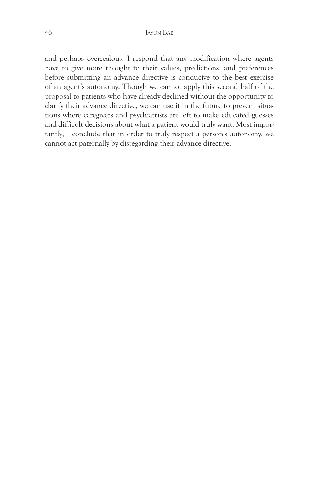and perhaps overzealous. I respond that any modification where agents have to give more thought to their values, predictions, and preferences before submitting an advance directive is conducive to the best exercise of an agent's autonomy. Though we cannot apply this second half of the proposal to patients who have already declined without the opportunity to clarify their advance directive, we can use it in the future to prevent situations where caregivers and psychiatrists are left to make educated guesses and difficult decisions about what a patient would truly want. Most importantly, I conclude that in order to truly respect a person's autonomy, we cannot act paternally by disregarding their advance directive.